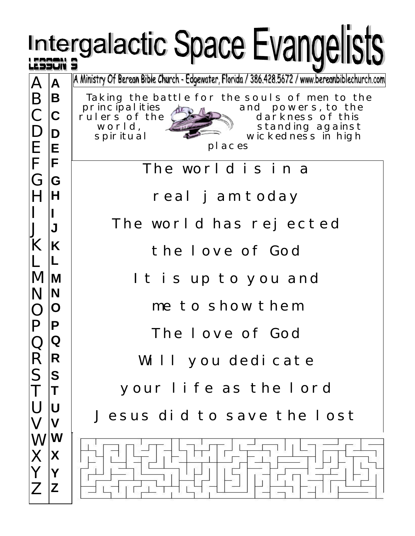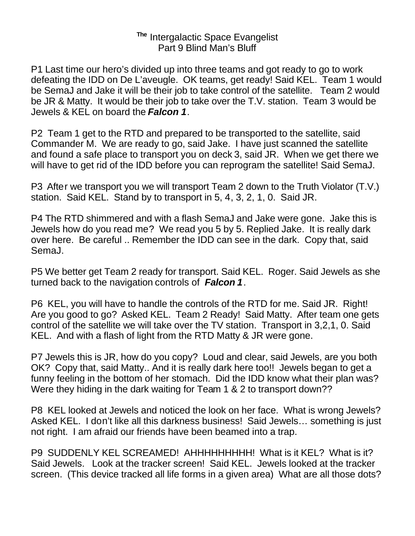## **The** Intergalactic Space Evangelist Part 9 Blind Man's Bluff

P1 Last time our hero's divided up into three teams and got ready to go to work defeating the IDD on De L'aveugle. OK teams, get ready! Said KEL. Team 1 would be SemaJ and Jake it will be their job to take control of the satellite. Team 2 would be JR & Matty. It would be their job to take over the T.V. station. Team 3 would be Jewels & KEL on board the *Falcon 1*.

P2 Team 1 get to the RTD and prepared to be transported to the satellite, said Commander M. We are ready to go, said Jake. I have just scanned the satellite and found a safe place to transport you on deck 3, said JR. When we get there we will have to get rid of the IDD before you can reprogram the satellite! Said SemaJ.

P3 After we transport you we will transport Team 2 down to the Truth Violator (T.V.) station. Said KEL. Stand by to transport in 5, 4, 3, 2, 1, 0. Said JR.

P4 The RTD shimmered and with a flash SemaJ and Jake were gone. Jake this is Jewels how do you read me? We read you 5 by 5. Replied Jake. It is really dark over here. Be careful .. Remember the IDD can see in the dark. Copy that, said SemaJ.

P5 We better get Team 2 ready for transport. Said KEL. Roger. Said Jewels as she turned back to the navigation controls of *Falcon 1*.

P6 KEL, you will have to handle the controls of the RTD for me. Said JR. Right! Are you good to go? Asked KEL. Team 2 Ready! Said Matty. After team one gets control of the satellite we will take over the TV station. Transport in 3,2,1, 0. Said KEL. And with a flash of light from the RTD Matty & JR were gone.

P7 Jewels this is JR, how do you copy? Loud and clear, said Jewels, are you both OK? Copy that, said Matty.. And it is really dark here too!! Jewels began to get a funny feeling in the bottom of her stomach. Did the IDD know what their plan was? Were they hiding in the dark waiting for Team 1 & 2 to transport down??

P8 KEL looked at Jewels and noticed the look on her face. What is wrong Jewels? Asked KEL. I don't like all this darkness business! Said Jewels… something is just not right. I am afraid our friends have been beamed into a trap.

P9 SUDDENLY KEL SCREAMED! AHHHHHHHHH! What is it KEL? What is it? Said Jewels. Look at the tracker screen! Said KEL. Jewels looked at the tracker screen. (This device tracked all life forms in a given area) What are all those dots?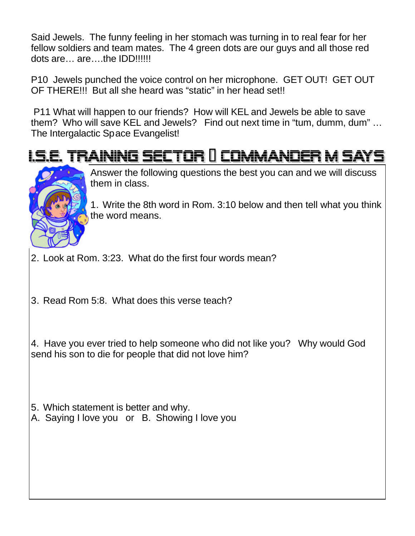Said Jewels. The funny feeling in her stomach was turning in to real fear for her fellow soldiers and team mates. The 4 green dots are our guys and all those red dots are… are….the IDD!!!!!!

P10 Jewels punched the voice control on her microphone. GET OUT! GET OUT OF THERE!!! But all she heard was "static" in her head set!!

 P11 What will happen to our friends? How will KEL and Jewels be able to save them? Who will save KEL and Jewels? Find out next time in "tum, dumm, dum" … The Intergalactic Space Evangelist!

## IAINING SECTOR II COMMANDER M SAY



Answer the following questions the best you can and we will discuss them in class.

1. Write the 8th word in Rom. 3:10 below and then tell what you think the word means.

2. Look at Rom. 3:23. What do the first four words mean?

3. Read Rom 5:8. What does this verse teach?

4. Have you ever tried to help someone who did not like you? Why would God send his son to die for people that did not love him?

- 5. Which statement is better and why.
- A. Saying I love you or B. Showing I love you